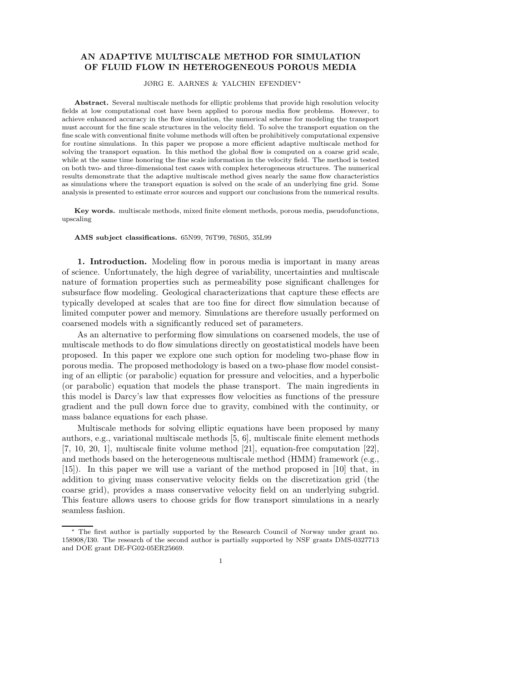## AN ADAPTIVE MULTISCALE METHOD FOR SIMULATION OF FLUID FLOW IN HETEROGENEOUS POROUS MEDIA

## JØRG E. AARNES & YALCHIN EFENDIEV<sup>∗</sup>

Abstract. Several multiscale methods for elliptic problems that provide high resolution velocity fields at low computational cost have been applied to porous media flow problems. However, to achieve enhanced accuracy in the flow simulation, the numerical scheme for modeling the transport must account for the fine scale structures in the velocity field. To solve the transport equation on the fine scale with conventional finite volume methods will often be prohibitively computational expensive for routine simulations. In this paper we propose a more efficient adaptive multiscale method for solving the transport equation. In this method the global flow is computed on a coarse grid scale, while at the same time honoring the fine scale information in the velocity field. The method is tested on both two- and three-dimensional test cases with complex heterogeneous structures. The numerical results demonstrate that the adaptive multiscale method gives nearly the same flow characteristics as simulations where the transport equation is solved on the scale of an underlying fine grid. Some analysis is presented to estimate error sources and support our conclusions from the numerical results.

Key words. multiscale methods, mixed finite element methods, porous media, pseudofunctions, upscaling

AMS subject classifications. 65N99, 76T99, 76S05, 35L99

1. Introduction. Modeling flow in porous media is important in many areas of science. Unfortunately, the high degree of variability, uncertainties and multiscale nature of formation properties such as permeability pose significant challenges for subsurface flow modeling. Geological characterizations that capture these effects are typically developed at scales that are too fine for direct flow simulation because of limited computer power and memory. Simulations are therefore usually performed on coarsened models with a significantly reduced set of parameters.

As an alternative to performing flow simulations on coarsened models, the use of multiscale methods to do flow simulations directly on geostatistical models have been proposed. In this paper we explore one such option for modeling two-phase flow in porous media. The proposed methodology is based on a two-phase flow model consisting of an elliptic (or parabolic) equation for pressure and velocities, and a hyperbolic (or parabolic) equation that models the phase transport. The main ingredients in this model is Darcy's law that expresses flow velocities as functions of the pressure gradient and the pull down force due to gravity, combined with the continuity, or mass balance equations for each phase.

Multiscale methods for solving elliptic equations have been proposed by many authors, e.g., variational multiscale methods [5, 6], multiscale finite element methods [7, 10, 20, 1], multiscale finite volume method [21], equation-free computation [22], and methods based on the heterogeneous multiscale method (HMM) framework (e.g., [15]). In this paper we will use a variant of the method proposed in [10] that, in addition to giving mass conservative velocity fields on the discretization grid (the coarse grid), provides a mass conservative velocity field on an underlying subgrid. This feature allows users to choose grids for flow transport simulations in a nearly seamless fashion.

The first author is partially supported by the Research Council of Norway under grant no. 158908/I30. The research of the second author is partially supported by NSF grants DMS-0327713 and DOE grant DE-FG02-05ER25669.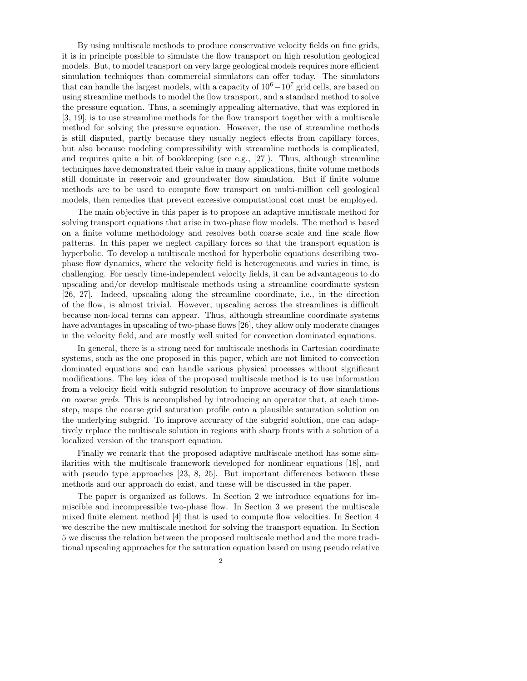By using multiscale methods to produce conservative velocity fields on fine grids, it is in principle possible to simulate the flow transport on high resolution geological models. But, to model transport on very large geological models requires more efficient simulation techniques than commercial simulators can offer today. The simulators that can handle the largest models, with a capacity of  $10^6-10^7$  grid cells, are based on using streamline methods to model the flow transport, and a standard method to solve the pressure equation. Thus, a seemingly appealing alternative, that was explored in [3, 19], is to use streamline methods for the flow transport together with a multiscale method for solving the pressure equation. However, the use of streamline methods is still disputed, partly because they usually neglect effects from capillary forces, but also because modeling compressibility with streamline methods is complicated, and requires quite a bit of bookkeeping (see e.g., [27]). Thus, although streamline techniques have demonstrated their value in many applications, finite volume methods still dominate in reservoir and groundwater flow simulation. But if finite volume methods are to be used to compute flow transport on multi-million cell geological models, then remedies that prevent excessive computational cost must be employed.

The main objective in this paper is to propose an adaptive multiscale method for solving transport equations that arise in two-phase flow models. The method is based on a finite volume methodology and resolves both coarse scale and fine scale flow patterns. In this paper we neglect capillary forces so that the transport equation is hyperbolic. To develop a multiscale method for hyperbolic equations describing twophase flow dynamics, where the velocity field is heterogeneous and varies in time, is challenging. For nearly time-independent velocity fields, it can be advantageous to do upscaling and/or develop multiscale methods using a streamline coordinate system [26, 27]. Indeed, upscaling along the streamline coordinate, i.e., in the direction of the flow, is almost trivial. However, upscaling across the streamlines is difficult because non-local terms can appear. Thus, although streamline coordinate systems have advantages in upscaling of two-phase flows [26], they allow only moderate changes in the velocity field, and are mostly well suited for convection dominated equations.

In general, there is a strong need for multiscale methods in Cartesian coordinate systems, such as the one proposed in this paper, which are not limited to convection dominated equations and can handle various physical processes without significant modifications. The key idea of the proposed multiscale method is to use information from a velocity field with subgrid resolution to improve accuracy of flow simulations on coarse grids. This is accomplished by introducing an operator that, at each timestep, maps the coarse grid saturation profile onto a plausible saturation solution on the underlying subgrid. To improve accuracy of the subgrid solution, one can adaptively replace the multiscale solution in regions with sharp fronts with a solution of a localized version of the transport equation.

Finally we remark that the proposed adaptive multiscale method has some similarities with the multiscale framework developed for nonlinear equations [18], and with pseudo type approaches [23, 8, 25]. But important differences between these methods and our approach do exist, and these will be discussed in the paper.

The paper is organized as follows. In Section 2 we introduce equations for immiscible and incompressible two-phase flow. In Section 3 we present the multiscale mixed finite element method [4] that is used to compute flow velocities. In Section 4 we describe the new multiscale method for solving the transport equation. In Section 5 we discuss the relation between the proposed multiscale method and the more traditional upscaling approaches for the saturation equation based on using pseudo relative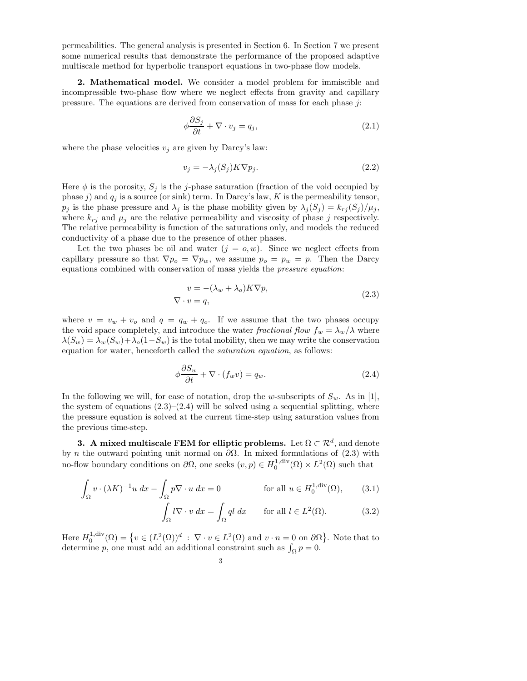permeabilities. The general analysis is presented in Section 6. In Section 7 we present some numerical results that demonstrate the performance of the proposed adaptive multiscale method for hyperbolic transport equations in two-phase flow models.

2. Mathematical model. We consider a model problem for immiscible and incompressible two-phase flow where we neglect effects from gravity and capillary pressure. The equations are derived from conservation of mass for each phase  $j$ :

$$
\phi \frac{\partial S_j}{\partial t} + \nabla \cdot v_j = q_j,\tag{2.1}
$$

where the phase velocities  $v_i$  are given by Darcy's law:

$$
v_j = -\lambda_j(S_j) K \nabla p_j. \tag{2.2}
$$

Here  $\phi$  is the porosity,  $S_j$  is the j-phase saturation (fraction of the void occupied by phase j) and  $q_j$  is a source (or sink) term. In Darcy's law, K is the permeability tensor,  $p_j$  is the phase pressure and  $\lambda_j$  is the phase mobility given by  $\lambda_j(S_j) = k_{rj}(S_j)/\mu_j$ , where  $k_{ri}$  and  $\mu_j$  are the relative permeability and viscosity of phase j respectively. The relative permeability is function of the saturations only, and models the reduced conductivity of a phase due to the presence of other phases.

Let the two phases be oil and water  $(j = 0, w)$ . Since we neglect effects from capillary pressure so that  $\nabla p_o = \nabla p_w$ , we assume  $p_o = p_w = p$ . Then the Darcy equations combined with conservation of mass yields the pressure equation:

$$
v = -(\lambda_w + \lambda_o) K \nabla p,
$$
  
\n
$$
\nabla \cdot v = q,
$$
\n(2.3)

where  $v = v_w + v_o$  and  $q = q_w + q_o$ . If we assume that the two phases occupy the void space completely, and introduce the water fractional flow  $f_w = \lambda_w/\lambda$  where  $\lambda(S_w) = \lambda_w(S_w) + \lambda_o(1-S_w)$  is the total mobility, then we may write the conservation equation for water, henceforth called the saturation equation, as follows:

$$
\phi \frac{\partial S_w}{\partial t} + \nabla \cdot (f_w v) = q_w.
$$
\n(2.4)

In the following we will, for ease of notation, drop the w-subscripts of  $S_w$ . As in [1], the system of equations  $(2.3)$ – $(2.4)$  will be solved using a sequential splitting, where the pressure equation is solved at the current time-step using saturation values from the previous time-step.

3. A mixed multiscale FEM for elliptic problems. Let  $\Omega \subset \mathcal{R}^d,$  and denote by n the outward pointing unit normal on  $\partial\Omega$ . In mixed formulations of (2.3) with no-flow boundary conditions on  $\partial\Omega$ , one seeks  $(v, p) \in H_0^{1, \text{div}}(\Omega) \times L^2(\Omega)$  such that

$$
\int_{\Omega} v \cdot (\lambda K)^{-1} u \, dx - \int_{\Omega} p \nabla \cdot u \, dx = 0 \qquad \text{for all } u \in H_0^{1, \text{div}}(\Omega), \qquad (3.1)
$$

$$
\int_{\Omega} l \nabla \cdot v \, dx = \int_{\Omega} q l \, dx \qquad \text{for all } l \in L^{2}(\Omega). \tag{3.2}
$$

Here  $H_0^{1,\text{div}}(\Omega) = \{ v \in (L^2(\Omega))^d : \nabla \cdot v \in L^2(\Omega) \text{ and } v \cdot n = 0 \text{ on } \partial \Omega \}.$  Note that to determine p, one must add an additional constraint such as  $\int_{\Omega} p = 0$ .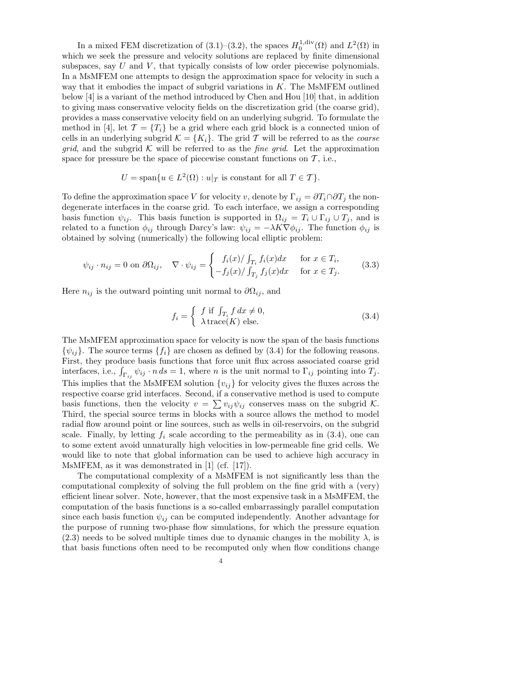In a mixed FEM discretization of (3.1)–(3.2), the spaces  $H_0^{1,\text{div}}(\Omega)$  and  $L^2(\Omega)$  in which we seek the pressure and velocity solutions are replaced by finite dimensional subspaces, say  $U$  and  $V$ , that typically consists of low order piecewise polynomials. In a MsMFEM one attempts to design the approximation space for velocity in such a way that it embodies the impact of subgrid variations in  $K$ . The MsMFEM outlined below [4] is a variant of the method introduced by Chen and Hou [10] that, in addition to giving mass conservative velocity fields on the discretization grid (the coarse grid), provides a mass conservative velocity field on an underlying subgrid. To formulate the method in [4], let  $\mathcal{T} = \{T_i\}$  be a grid where each grid block is a connected union of cells in an underlying subgrid  $\mathcal{K} = \{K_i\}$ . The grid T will be referred to as the *coarse grid*, and the subgrid K will be referred to as the *fine grid*. Let the approximation space for pressure be the space of piecewise constant functions on  $\mathcal{T}$ , i.e.,

$$
U = \text{span}\{u \in L^2(\Omega) : u|_T \text{ is constant for all } T \in \mathcal{T}\}.
$$

To define the approximation space V for velocity v, denote by  $\Gamma_{ij} = \partial T_i \cap \partial T_j$  the nondegenerate interfaces in the coarse grid. To each interface, we assign a corresponding basis function  $\psi_{ij}$ . This basis function is supported in  $\Omega_{ij} = T_i \cup \Gamma_{ij} \cup T_j$ , and is related to a function  $\phi_{ij}$  through Darcy's law:  $\psi_{ij} = -\lambda K \nabla \phi_{ij}$ . The function  $\phi_{ij}$  is obtained by solving (numerically) the following local elliptic problem:

$$
\psi_{ij} \cdot n_{ij} = 0 \text{ on } \partial \Omega_{ij}, \quad \nabla \cdot \psi_{ij} = \begin{cases} f_i(x) / \int_{T_i} f_i(x) dx & \text{for } x \in T_i, \\ -f_j(x) / \int_{T_j} f_j(x) dx & \text{for } x \in T_j. \end{cases} \tag{3.3}
$$

Here  $n_{ij}$  is the outward pointing unit normal to  $\partial\Omega_{ij}$ , and

$$
f_i = \begin{cases} f \text{ if } \int_{T_i} f \, dx \neq 0, \\ \lambda \operatorname{trace}(K) \text{ else.} \end{cases} \tag{3.4}
$$

The MsMFEM approximation space for velocity is now the span of the basis functions  $\{\psi_{ij}\}.$  The source terms  $\{f_i\}$  are chosen as defined by (3.4) for the following reasons. First, they produce basis functions that force unit flux across associated coarse grid interfaces, i.e.,  $\int_{\Gamma_{ij}} \psi_{ij} \cdot n \, ds = 1$ , where n is the unit normal to  $\Gamma_{ij}$  pointing into  $T_j$ . This implies that the MsMFEM solution  ${v_{ij}}$  for velocity gives the fluxes across the respective coarse grid interfaces. Second, if a conservative method is used to compute basis functions, then the velocity  $v = \sum v_{ij} \psi_{ij}$  conserves mass on the subgrid K. Third, the special source terms in blocks with a source allows the method to model radial flow around point or line sources, such as wells in oil-reservoirs, on the subgrid scale. Finally, by letting  $f_i$  scale according to the permeability as in  $(3.4)$ , one can to some extent avoid unnaturally high velocities in low-permeable fine grid cells. We would like to note that global information can be used to achieve high accuracy in MsMFEM, as it was demonstrated in [1] (cf. [17]).

The computational complexity of a MsMFEM is not significantly less than the computational complexity of solving the full problem on the fine grid with a (very) efficient linear solver. Note, however, that the most expensive task in a MsMFEM, the computation of the basis functions is a so-called embarrassingly parallel computation since each basis function  $\psi_{ij}$  can be computed independently. Another advantage for the purpose of running two-phase flow simulations, for which the pressure equation (2.3) needs to be solved multiple times due to dynamic changes in the mobility  $\lambda$ , is that basis functions often need to be recomputed only when flow conditions change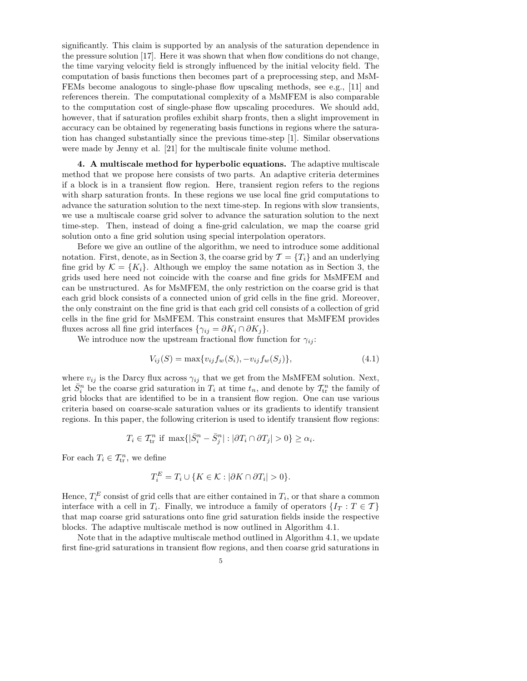significantly. This claim is supported by an analysis of the saturation dependence in the pressure solution [17]. Here it was shown that when flow conditions do not change, the time varying velocity field is strongly influenced by the initial velocity field. The computation of basis functions then becomes part of a preprocessing step, and MsM-FEMs become analogous to single-phase flow upscaling methods, see e.g., [11] and references therein. The computational complexity of a MsMFEM is also comparable to the computation cost of single-phase flow upscaling procedures. We should add, however, that if saturation profiles exhibit sharp fronts, then a slight improvement in accuracy can be obtained by regenerating basis functions in regions where the saturation has changed substantially since the previous time-step [1]. Similar observations were made by Jenny et al. [21] for the multiscale finite volume method.

4. A multiscale method for hyperbolic equations. The adaptive multiscale method that we propose here consists of two parts. An adaptive criteria determines if a block is in a transient flow region. Here, transient region refers to the regions with sharp saturation fronts. In these regions we use local fine grid computations to advance the saturation solution to the next time-step. In regions with slow transients, we use a multiscale coarse grid solver to advance the saturation solution to the next time-step. Then, instead of doing a fine-grid calculation, we map the coarse grid solution onto a fine grid solution using special interpolation operators.

Before we give an outline of the algorithm, we need to introduce some additional notation. First, denote, as in Section 3, the coarse grid by  $\mathcal{T} = \{T_i\}$  and an underlying fine grid by  $\mathcal{K} = \{K_i\}$ . Although we employ the same notation as in Section 3, the grids used here need not coincide with the coarse and fine grids for MsMFEM and can be unstructured. As for MsMFEM, the only restriction on the coarse grid is that each grid block consists of a connected union of grid cells in the fine grid. Moreover, the only constraint on the fine grid is that each grid cell consists of a collection of grid cells in the fine grid for MsMFEM. This constraint ensures that MsMFEM provides fluxes across all fine grid interfaces  $\{\gamma_{ij} = \partial K_i \cap \partial K_j\}.$ 

We introduce now the upstream fractional flow function for  $\gamma_{ij}$ :

$$
V_{ij}(S) = \max\{v_{ij}f_w(S_i), -v_{ij}f_w(S_j)\},\tag{4.1}
$$

where  $v_{ij}$  is the Darcy flux across  $\gamma_{ij}$  that we get from the MsMFEM solution. Next, let  $\bar{S}_i^n$  be the coarse grid saturation in  $T_i$  at time  $t_n$ , and denote by  $\mathcal{T}_{tr}^n$  the family of grid blocks that are identified to be in a transient flow region. One can use various criteria based on coarse-scale saturation values or its gradients to identify transient regions. In this paper, the following criterion is used to identify transient flow regions:

$$
T_i \in \mathcal{T}_{\text{tr}}^n \text{ if } \max \{ |\bar{S}_i^n - \bar{S}_j^n| : |\partial T_i \cap \partial T_j| > 0 \} \ge \alpha_i.
$$

For each  $T_i \in \mathcal{T}_{tr}^n$ , we define

$$
T_i^E = T_i \cup \{ K \in \mathcal{K} : |\partial K \cap \partial T_i| > 0 \}.
$$

Hence,  $T_i^E$  consist of grid cells that are either contained in  $T_i$ , or that share a common interface with a cell in  $T_i$ . Finally, we introduce a family of operators  $\{I_T : T \in \mathcal{T}\}\$ that map coarse grid saturations onto fine grid saturation fields inside the respective blocks. The adaptive multiscale method is now outlined in Algorithm 4.1.

Note that in the adaptive multiscale method outlined in Algorithm 4.1, we update first fine-grid saturations in transient flow regions, and then coarse grid saturations in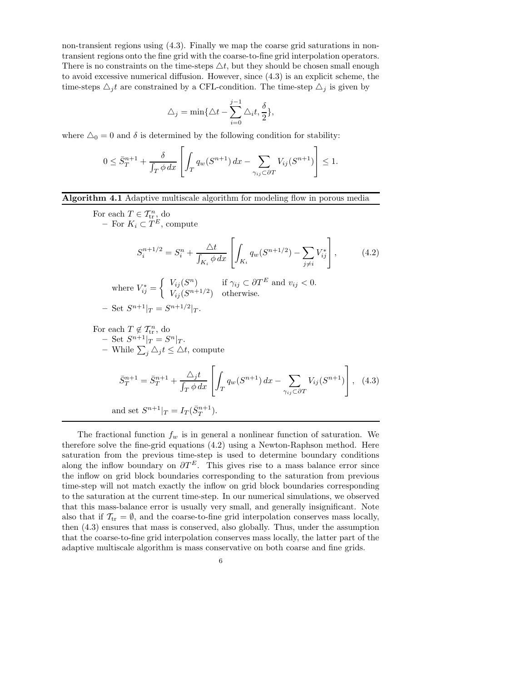non-transient regions using (4.3). Finally we map the coarse grid saturations in nontransient regions onto the fine grid with the coarse-to-fine grid interpolation operators. There is no constraints on the time-steps  $\Delta t$ , but they should be chosen small enough to avoid excessive numerical diffusion. However, since (4.3) is an explicit scheme, the time-steps  $\Delta_j t$  are constrained by a CFL-condition. The time-step  $\Delta_j$  is given by

$$
\triangle_j = \min\{\triangle t - \sum_{i=0}^{j-1} \triangle_i t, \frac{\delta}{2}\},\
$$

where  $\Delta_0 = 0$  and  $\delta$  is determined by the following condition for stability:

$$
0 \le \bar{S}_T^{n+1} + \frac{\delta}{\int_T \phi \, dx} \left[ \int_T q_w(S^{n+1}) \, dx - \sum_{\gamma_{ij} \subset \partial T} V_{ij}(S^{n+1}) \right] \le 1.
$$

Algorithm 4.1 Adaptive multiscale algorithm for modeling flow in porous media

For each  $T \in \mathcal{T}_{\text{tr}\,}^n$  do  $-$  For  $K_i \subset T^E$ , compute

$$
S_i^{n+1/2} = S_i^n + \frac{\Delta t}{\int_{K_i} \phi \, dx} \left[ \int_{K_i} q_w (S^{n+1/2}) - \sum_{j \neq i} V_{ij}^* \right],\tag{4.2}
$$

where 
$$
V_{ij}^* = \begin{cases} V_{ij}(S^n) & \text{if } \gamma_{ij} \subset \partial T^E \text{ and } v_{ij} < 0. \\ V_{ij}(S^{n+1/2}) & \text{otherwise.} \end{cases}
$$

For each  $T \notin \mathcal{T}_{tr}^n$ , do

 $-$  Set  $S^{n+1}|_T = S^n|_T$ .

– While  $\sum_j \triangle_j t \leq \triangle t$ , compute

$$
\bar{S}_T^{n+1} = \bar{S}_T^{n+1} + \frac{\Delta_j t}{\int_T \phi \, dx} \left[ \int_T q_w(S^{n+1}) \, dx - \sum_{\gamma_{ij} \subset \partial T} V_{ij}(S^{n+1}) \right], \tag{4.3}
$$
\nand set  $S^{n+1}|_T = I_T(\bar{S}_T^{n+1})$ .

The fractional function  $f_w$  is in general a nonlinear function of saturation. We therefore solve the fine-grid equations (4.2) using a Newton-Raphson method. Here saturation from the previous time-step is used to determine boundary conditions along the inflow boundary on  $\partial T^E$ . This gives rise to a mass balance error since the inflow on grid block boundaries corresponding to the saturation from previous time-step will not match exactly the inflow on grid block boundaries corresponding to the saturation at the current time-step. In our numerical simulations, we observed that this mass-balance error is usually very small, and generally insignificant. Note also that if  $\mathcal{T}_{tr} = \emptyset$ , and the coarse-to-fine grid interpolation conserves mass locally, then (4.3) ensures that mass is conserved, also globally. Thus, under the assumption that the coarse-to-fine grid interpolation conserves mass locally, the latter part of the adaptive multiscale algorithm is mass conservative on both coarse and fine grids.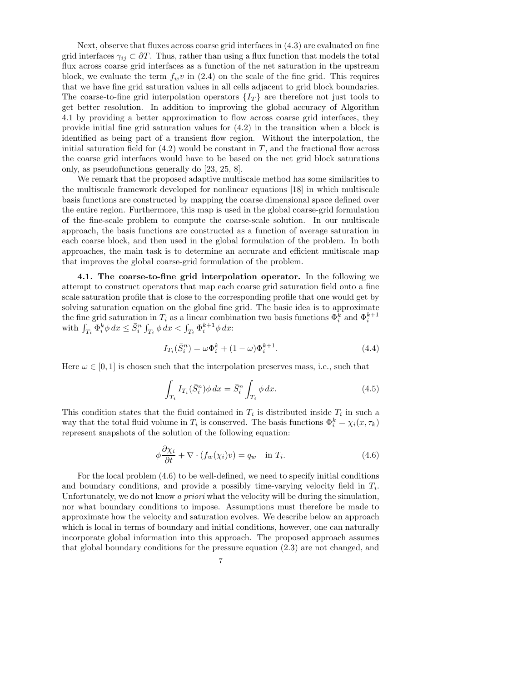Next, observe that fluxes across coarse grid interfaces in (4.3) are evaluated on fine grid interfaces  $\gamma_{ij} \subset \partial T$ . Thus, rather than using a flux function that models the total flux across coarse grid interfaces as a function of the net saturation in the upstream block, we evaluate the term  $f_wv$  in (2.4) on the scale of the fine grid. This requires that we have fine grid saturation values in all cells adjacent to grid block boundaries. The coarse-to-fine grid interpolation operators  $\{I_T\}$  are therefore not just tools to get better resolution. In addition to improving the global accuracy of Algorithm 4.1 by providing a better approximation to flow across coarse grid interfaces, they provide initial fine grid saturation values for (4.2) in the transition when a block is identified as being part of a transient flow region. Without the interpolation, the initial saturation field for  $(4.2)$  would be constant in T, and the fractional flow across the coarse grid interfaces would have to be based on the net grid block saturations only, as pseudofunctions generally do [23, 25, 8].

We remark that the proposed adaptive multiscale method has some similarities to the multiscale framework developed for nonlinear equations [18] in which multiscale basis functions are constructed by mapping the coarse dimensional space defined over the entire region. Furthermore, this map is used in the global coarse-grid formulation of the fine-scale problem to compute the coarse-scale solution. In our multiscale approach, the basis functions are constructed as a function of average saturation in each coarse block, and then used in the global formulation of the problem. In both approaches, the main task is to determine an accurate and efficient multiscale map that improves the global coarse-grid formulation of the problem.

4.1. The coarse-to-fine grid interpolation operator. In the following we attempt to construct operators that map each coarse grid saturation field onto a fine scale saturation profile that is close to the corresponding profile that one would get by solving saturation equation on the global fine grid. The basic idea is to approximate the fine grid saturation in  $T_i$  as a linear combination two basis functions  $\Phi_i^k$  and  $\Phi_i^{k+1}$  with  $\int_{T_i} \Phi_i^k \phi \, dx \leq \bar{S}_i^n \int_{T_i} \phi \, dx < \int_{T_i} \Phi_i^{k+1} \phi \, dx$ :

$$
I_{T_i}(\bar{S}_i^n) = \omega \Phi_i^k + (1 - \omega) \Phi_i^{k+1}.
$$
\n(4.4)

Here  $\omega \in [0, 1]$  is chosen such that the interpolation preserves mass, i.e., such that

$$
\int_{T_i} I_{T_i}(\bar{S}_i^n)\phi \,dx = \bar{S}_i^n \int_{T_i} \phi \,dx. \tag{4.5}
$$

This condition states that the fluid contained in  $T_i$  is distributed inside  $T_i$  in such a way that the total fluid volume in  $T_i$  is conserved. The basis functions  $\Phi_i^k = \chi_i(x, \tau_k)$ represent snapshots of the solution of the following equation:

$$
\phi \frac{\partial \chi_i}{\partial t} + \nabla \cdot (f_w(\chi_i)v) = q_w \quad \text{in } T_i.
$$
\n(4.6)

For the local problem (4.6) to be well-defined, we need to specify initial conditions and boundary conditions, and provide a possibly time-varying velocity field in  $T_i$ . Unfortunately, we do not know a priori what the velocity will be during the simulation, nor what boundary conditions to impose. Assumptions must therefore be made to approximate how the velocity and saturation evolves. We describe below an approach which is local in terms of boundary and initial conditions, however, one can naturally incorporate global information into this approach. The proposed approach assumes that global boundary conditions for the pressure equation (2.3) are not changed, and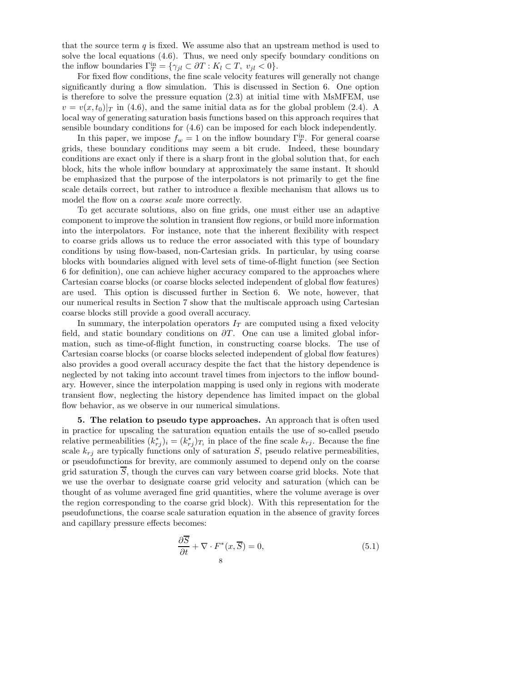that the source term  $q$  is fixed. We assume also that an upstream method is used to solve the local equations (4.6). Thus, we need only specify boundary conditions on the inflow boundaries  $\Gamma_T^{\text{in}} = \{ \gamma_{jl} \subset \partial T : K_l \subset T, v_{jl} < 0 \}.$ 

For fixed flow conditions, the fine scale velocity features will generally not change significantly during a flow simulation. This is discussed in Section 6. One option is therefore to solve the pressure equation (2.3) at initial time with MsMFEM, use  $v = v(x,t_0)|_T$  in (4.6), and the same initial data as for the global problem (2.4). A local way of generating saturation basis functions based on this approach requires that sensible boundary conditions for (4.6) can be imposed for each block independently.

In this paper, we impose  $f_w = 1$  on the inflow boundary  $\Gamma_T^{\text{in}}$ . For general coarse grids, these boundary conditions may seem a bit crude. Indeed, these boundary conditions are exact only if there is a sharp front in the global solution that, for each block, hits the whole inflow boundary at approximately the same instant. It should be emphasized that the purpose of the interpolators is not primarily to get the fine scale details correct, but rather to introduce a flexible mechanism that allows us to model the flow on a *coarse scale* more correctly.

To get accurate solutions, also on fine grids, one must either use an adaptive component to improve the solution in transient flow regions, or build more information into the interpolators. For instance, note that the inherent flexibility with respect to coarse grids allows us to reduce the error associated with this type of boundary conditions by using flow-based, non-Cartesian grids. In particular, by using coarse blocks with boundaries aligned with level sets of time-of-flight function (see Section 6 for definition), one can achieve higher accuracy compared to the approaches where Cartesian coarse blocks (or coarse blocks selected independent of global flow features) are used. This option is discussed further in Section 6. We note, however, that our numerical results in Section 7 show that the multiscale approach using Cartesian coarse blocks still provide a good overall accuracy.

In summary, the interpolation operators  $I_T$  are computed using a fixed velocity field, and static boundary conditions on  $\partial T$ . One can use a limited global information, such as time-of-flight function, in constructing coarse blocks. The use of Cartesian coarse blocks (or coarse blocks selected independent of global flow features) also provides a good overall accuracy despite the fact that the history dependence is neglected by not taking into account travel times from injectors to the inflow boundary. However, since the interpolation mapping is used only in regions with moderate transient flow, neglecting the history dependence has limited impact on the global flow behavior, as we observe in our numerical simulations.

5. The relation to pseudo type approaches. An approach that is often used in practice for upscaling the saturation equation entails the use of so-called pseudo relative permeabilities  $(k_{rj}^*)_i = (k_{rj}^*)_{T_i}$  in place of the fine scale  $k_{rj}$ . Because the fine scale  $k_{rj}$  are typically functions only of saturation S, pseudo relative permeabilities, or pseudofunctions for brevity, are commonly assumed to depend only on the coarse grid saturation  $\overline{S}$ , though the curves can vary between coarse grid blocks. Note that we use the overbar to designate coarse grid velocity and saturation (which can be thought of as volume averaged fine grid quantities, where the volume average is over the region corresponding to the coarse grid block). With this representation for the pseudofunctions, the coarse scale saturation equation in the absence of gravity forces and capillary pressure effects becomes:

$$
\frac{\partial \overline{S}}{\partial t} + \nabla \cdot F^*(x, \overline{S}) = 0,
$$
\n(5.1)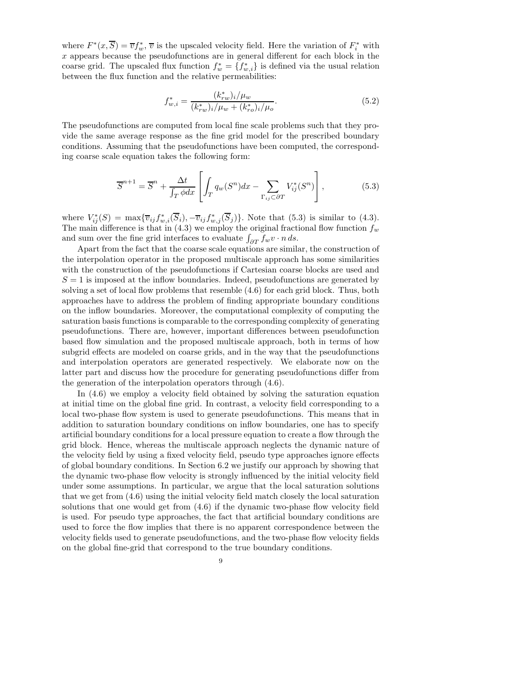where  $F^*(x, \overline{S}) = \overline{v}f_w^*, \overline{v}$  is the upscaled velocity field. Here the variation of  $F_i^*$  with x appears because the pseudofunctions are in general different for each block in the coarse grid. The upscaled flux function  $f_w^* = \{f_{w,i}^*\}$  is defined via the usual relation between the flux function and the relative permeabilities:

$$
f_{w,i}^{*} = \frac{(k_{rw}^{*})_i / \mu_w}{(k_{rw}^{*})_i / \mu_w + (k_{ro}^{*})_i / \mu_o}.
$$
\n(5.2)

The pseudofunctions are computed from local fine scale problems such that they provide the same average response as the fine grid model for the prescribed boundary conditions. Assuming that the pseudofunctions have been computed, the corresponding coarse scale equation takes the following form:

$$
\overline{S}^{n+1} = \overline{S}^n + \frac{\Delta t}{\int_T \phi dx} \left[ \int_T q_w(S^n) dx - \sum_{\Gamma_{ij} \subset \partial T} V_{ij}^*(S^n) \right],\tag{5.3}
$$

where  $V_{ij}^*(S) = \max{\{\overline{v}_{ij}f_{w,i}^*(\overline{S}_i), -\overline{v}_{ij}f_{w,j}^*(\overline{S}_j)\}}$ . Note that (5.3) is similar to (4.3). The main difference is that in (4.3) we employ the original fractional flow function  $f_w$ and sum over the fine grid interfaces to evaluate  $\int_{\partial T} f_w v \cdot n \, ds$ .

Apart from the fact that the coarse scale equations are similar, the construction of the interpolation operator in the proposed multiscale approach has some similarities with the construction of the pseudofunctions if Cartesian coarse blocks are used and  $S = 1$  is imposed at the inflow boundaries. Indeed, pseudofunctions are generated by solving a set of local flow problems that resemble (4.6) for each grid block. Thus, both approaches have to address the problem of finding appropriate boundary conditions on the inflow boundaries. Moreover, the computational complexity of computing the saturation basis functions is comparable to the corresponding complexity of generating pseudofunctions. There are, however, important differences between pseudofunction based flow simulation and the proposed multiscale approach, both in terms of how subgrid effects are modeled on coarse grids, and in the way that the pseudofunctions and interpolation operators are generated respectively. We elaborate now on the latter part and discuss how the procedure for generating pseudofunctions differ from the generation of the interpolation operators through (4.6).

In (4.6) we employ a velocity field obtained by solving the saturation equation at initial time on the global fine grid. In contrast, a velocity field corresponding to a local two-phase flow system is used to generate pseudofunctions. This means that in addition to saturation boundary conditions on inflow boundaries, one has to specify artificial boundary conditions for a local pressure equation to create a flow through the grid block. Hence, whereas the multiscale approach neglects the dynamic nature of the velocity field by using a fixed velocity field, pseudo type approaches ignore effects of global boundary conditions. In Section 6.2 we justify our approach by showing that the dynamic two-phase flow velocity is strongly influenced by the initial velocity field under some assumptions. In particular, we argue that the local saturation solutions that we get from (4.6) using the initial velocity field match closely the local saturation solutions that one would get from (4.6) if the dynamic two-phase flow velocity field is used. For pseudo type approaches, the fact that artificial boundary conditions are used to force the flow implies that there is no apparent correspondence between the velocity fields used to generate pseudofunctions, and the two-phase flow velocity fields on the global fine-grid that correspond to the true boundary conditions.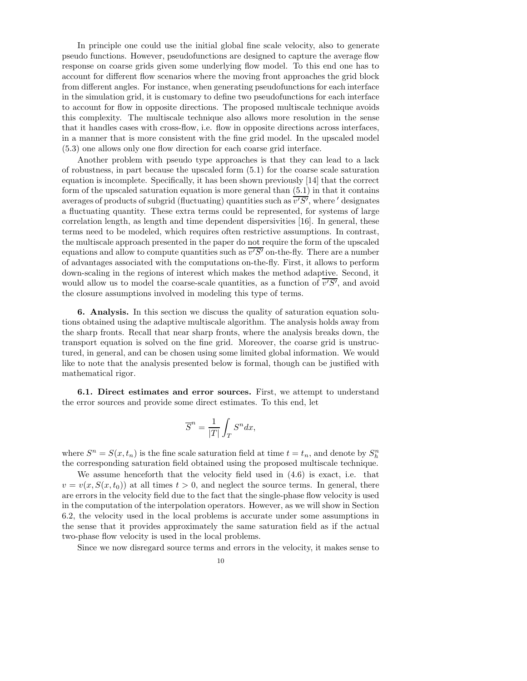In principle one could use the initial global fine scale velocity, also to generate pseudo functions. However, pseudofunctions are designed to capture the average flow response on coarse grids given some underlying flow model. To this end one has to account for different flow scenarios where the moving front approaches the grid block from different angles. For instance, when generating pseudofunctions for each interface in the simulation grid, it is customary to define two pseudofunctions for each interface to account for flow in opposite directions. The proposed multiscale technique avoids this complexity. The multiscale technique also allows more resolution in the sense that it handles cases with cross-flow, i.e. flow in opposite directions across interfaces, in a manner that is more consistent with the fine grid model. In the upscaled model (5.3) one allows only one flow direction for each coarse grid interface.

Another problem with pseudo type approaches is that they can lead to a lack of robustness, in part because the upscaled form (5.1) for the coarse scale saturation equation is incomplete. Specifically, it has been shown previously [14] that the correct form of the upscaled saturation equation is more general than (5.1) in that it contains averages of products of subgrid (fluctuating) quantities such as  $\overline{v'S'}$ , where ' designates a fluctuating quantity. These extra terms could be represented, for systems of large correlation length, as length and time dependent dispersivities [16]. In general, these terms need to be modeled, which requires often restrictive assumptions. In contrast, the multiscale approach presented in the paper do not require the form of the upscaled equations and allow to compute quantities such as  $\overline{v'S'}$  on-the-fly. There are a number of advantages associated with the computations on-the-fly. First, it allows to perform down-scaling in the regions of interest which makes the method adaptive. Second, it would allow us to model the coarse-scale quantities, as a function of  $\overline{v'S'}$ , and avoid the closure assumptions involved in modeling this type of terms.

6. Analysis. In this section we discuss the quality of saturation equation solutions obtained using the adaptive multiscale algorithm. The analysis holds away from the sharp fronts. Recall that near sharp fronts, where the analysis breaks down, the transport equation is solved on the fine grid. Moreover, the coarse grid is unstructured, in general, and can be chosen using some limited global information. We would like to note that the analysis presented below is formal, though can be justified with mathematical rigor.

6.1. Direct estimates and error sources. First, we attempt to understand the error sources and provide some direct estimates. To this end, let

$$
\overline{S}^n = \frac{1}{|T|} \int_T S^n dx,
$$

where  $S^n = S(x, t_n)$  is the fine scale saturation field at time  $t = t_n$ , and denote by  $S_h^n$ the corresponding saturation field obtained using the proposed multiscale technique.

We assume henceforth that the velocity field used in (4.6) is exact, i.e. that  $v = v(x, S(x, t_0))$  at all times  $t > 0$ , and neglect the source terms. In general, there are errors in the velocity field due to the fact that the single-phase flow velocity is used in the computation of the interpolation operators. However, as we will show in Section 6.2, the velocity used in the local problems is accurate under some assumptions in the sense that it provides approximately the same saturation field as if the actual two-phase flow velocity is used in the local problems.

Since we now disregard source terms and errors in the velocity, it makes sense to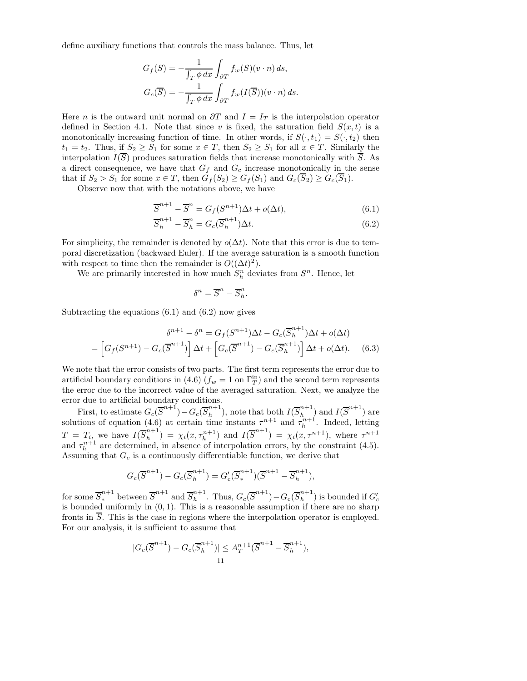define auxiliary functions that controls the mass balance. Thus, let

$$
G_f(S) = -\frac{1}{\int_T \phi \, dx} \int_{\partial T} f_w(S)(v \cdot n) \, ds,
$$
  

$$
G_c(\overline{S}) = -\frac{1}{\int_T \phi \, dx} \int_{\partial T} f_w(I(\overline{S}))(v \cdot n) \, ds.
$$

Here *n* is the outward unit normal on  $\partial T$  and  $I = I_T$  is the interpolation operator defined in Section 4.1. Note that since v is fixed, the saturation field  $S(x,t)$  is a monotonically increasing function of time. In other words, if  $S(\cdot,t_1) = S(\cdot,t_2)$  then  $t_1 = t_2$ . Thus, if  $S_2 \geq S_1$  for some  $x \in T$ , then  $S_2 \geq S_1$  for all  $x \in T$ . Similarly the interpolation  $I(\overline{S})$  produces saturation fields that increase monotonically with  $\overline{S}$ . As a direct consequence, we have that  $G_f$  and  $G_c$  increase monotonically in the sense that if  $S_2 > S_1$  for some  $x \in T$ , then  $G_f(S_2) \geq G_f(S_1)$  and  $G_c(\overline{S}_2) \geq G_c(\overline{S}_1)$ .

Observe now that with the notations above, we have

$$
\overline{S}^{n+1} - \overline{S}^n = G_f(S^{n+1})\Delta t + o(\Delta t),\tag{6.1}
$$

$$
\overline{S}_h^{n+1} - \overline{S}_h^n = G_c(\overline{S}_h^{n+1}) \Delta t. \tag{6.2}
$$

For simplicity, the remainder is denoted by  $o(\Delta t)$ . Note that this error is due to temporal discretization (backward Euler). If the average saturation is a smooth function with respect to time then the remainder is  $O((\Delta t)^2)$ .

We are primarily interested in how much  $S_h^n$  deviates from  $S^n$ . Hence, let

$$
\delta^n = \overline{S}^n - \overline{S}_h^n.
$$

Subtracting the equations  $(6.1)$  and  $(6.2)$  now gives

$$
\delta^{n+1} - \delta^n = G_f(S^{n+1})\Delta t - G_c(\overline{S}_h^{n+1})\Delta t + o(\Delta t)
$$
  
= 
$$
\left[ G_f(S^{n+1}) - G_c(\overline{S}^{n+1}) \right] \Delta t + \left[ G_c(\overline{S}^{n+1}) - G_c(\overline{S}_h^{n+1}) \right] \Delta t + o(\Delta t). \tag{6.3}
$$

We note that the error consists of two parts. The first term represents the error due to artificial boundary conditions in (4.6)  $(f_w = 1 \text{ on } \Gamma_T^{\text{in}})$  and the second term represents the error due to the incorrect value of the averaged saturation. Next, we analyze the error due to artificial boundary conditions.

First, to estimate  $G_c(\overline{S}^{n+1}) - G_c(\overline{S}_h^{n+1})$  $\binom{n+1}{h}$ , note that both  $I(\overline{S}_{h}^{n+1})$  $\binom{n+1}{h}$  and  $I(\overline{S}^{n+1})$  are solutions of equation (4.6) at certain time instants  $\tau^{n+1}$  and  $\tau_h^{n+1}$ . Indeed, letting  $T = T_i$ , we have  $I(\overline{S}_h^{n+1})$  $\binom{n+1}{h} = \chi_i(x, \tau_h^{n+1})$  and  $I(\overline{S}^{n+1}) = \chi_i(x, \tau^{n+1})$ , where  $\tau^{n+1}$ and  $\tau_h^{n+1}$  are determined, in absence of interpolation errors, by the constraint (4.5). Assuming that  $G_c$  is a continuously differentiable function, we derive that

$$
G_c(\overline{S}^{n+1}) - G_c(\overline{S}_h^{n+1}) = G_c'(\overline{S}_*^{n+1})(\overline{S}^{n+1} - \overline{S}_h^{n+1}),
$$

for some  $\overline{S}_{*}^{n+1}$  between  $\overline{S}_{*}^{n+1}$  and  $\overline{S}_{h}^{n+1}$  $_{h}^{n+1}$ . Thus,  $G_c(\overline{S}^{n+1}) - G_c(\overline{S}_h^{n+1})$ for some  $\overline{S}_{*}^{n+1}$  between  $\overline{S}_{n}^{n+1}$  and  $\overline{S}_{n}^{n+1}$ . Thus,  $G_{c}(\overline{S}_{n}^{n+1}) - G_{c}(\overline{S}_{n}^{n+1})$  is bounded if  $G'_{c}$  is bounded uniformly in (0, 1). This is a reasonable assumption if there are no sharp fronts in  $\overline{S}$ . This is the case in regions where the interpolation operator is employed. For our analysis, it is sufficient to assume that

$$
|G_c(\overline{S}^{n+1}) - G_c(\overline{S}_h^{n+1})| \le A_T^{n+1}(\overline{S}^{n+1} - \overline{S}_h^{n+1}),
$$
  
11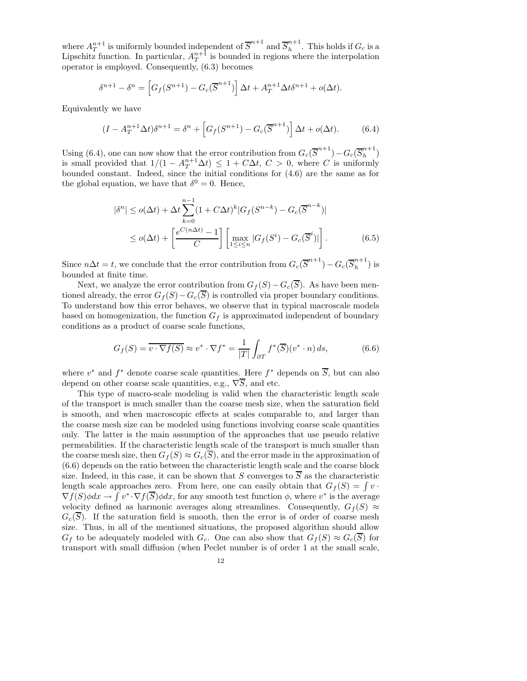where  $A_T^{n+1}$  is uniformly bounded independent of  $\overline{S}^{n+1}$  and  $\overline{S}_h^{n+1}$  $\binom{n+1}{h}$ . This holds if  $G_c$  is a Lipschitz function. In particular,  $A_T^{n+1}$  is bounded in regions where the interpolation operator is employed. Consequently, (6.3) becomes

$$
\delta^{n+1} - \delta^n = \left[ G_f(S^{n+1}) - G_c(\overline{S}^{n+1}) \right] \Delta t + A_T^{n+1} \Delta t \delta^{n+1} + o(\Delta t).
$$

Equivalently we have

$$
(I - A_T^{n+1} \Delta t) \delta^{n+1} = \delta^n + \left[ G_f(S^{n+1}) - G_c(\overline{S}^{n+1}) \right] \Delta t + o(\Delta t). \tag{6.4}
$$

Using (6.4), one can now show that the error contribution from  $G_c(\overline{S}^{n+1}) - G_c(\overline{S}_h^{n+1})$  $\binom{n+1}{h}$ is small provided that  $1/(1 - A_T^{n+1} \Delta t) \leq 1 + C \Delta t$ ,  $C > 0$ , where C is uniformly bounded constant. Indeed, since the initial conditions for (4.6) are the same as for the global equation, we have that  $\delta^0 = 0$ . Hence,

$$
|\delta^n| \le o(\Delta t) + \Delta t \sum_{k=0}^{n-1} (1 + C\Delta t)^k |G_f(S^{n-k}) - G_c(\overline{S}^{n-k})|
$$
  
 
$$
\le o(\Delta t) + \left[ \frac{e^{C(n\Delta t)} - 1}{C} \right] \left[ \max_{1 \le i \le n} |G_f(S^i) - G_c(\overline{S}^i)| \right]. \tag{6.5}
$$

Since  $n\Delta t = t$ , we conclude that the error contribution from  $G_c(\overline{S}^{n+1}) - G_c(\overline{S}_h^{n+1})$  $\binom{n+1}{h}$  is bounded at finite time.

Next, we analyze the error contribution from  $G_f(S) - G_c(\overline{S})$ . As have been mentioned already, the error  $G_f(S) - G_c(\overline{S})$  is controlled via proper boundary conditions. To understand how this error behaves, we observe that in typical macroscale models based on homogenization, the function  $G_f$  is approximated independent of boundary conditions as a product of coarse scale functions,

$$
G_f(S) = \overline{v \cdot \nabla f(S)} \approx v^* \cdot \nabla f^* = \frac{1}{|T|} \int_{\partial T} f^*(\overline{S})(v^* \cdot n) ds, \tag{6.6}
$$

where  $v^*$  and  $f^*$  denote coarse scale quantities. Here  $f^*$  depends on  $\overline{S}$ , but can also depend on other coarse scale quantities, e.g.,  $\nabla \overline{S}$ , and etc.

This type of macro-scale modeling is valid when the characteristic length scale of the transport is much smaller than the coarse mesh size, when the saturation field is smooth, and when macroscopic effects at scales comparable to, and larger than the coarse mesh size can be modeled using functions involving coarse scale quantities only. The latter is the main assumption of the approaches that use pseudo relative permeabilities. If the characteristic length scale of the transport is much smaller than the coarse mesh size, then  $G_f(S) \approx G_c(\overline{S})$ , and the error made in the approximation of (6.6) depends on the ratio between the characteristic length scale and the coarse block size. Indeed, in this case, it can be shown that S converges to  $\overline{S}$  as the characteristic length scale approaches zero. From here, one can easily obtain that  $G_f(S) = \int v \cdot$  $\nabla f(S) \phi dx \to \int v^* \cdot \nabla f(\overline{S}) \phi dx$ , for any smooth test function  $\phi$ , where  $v^*$  is the average velocity defined as harmonic averages along streamlines. Consequently,  $G_f(S) \approx$  $G_c(\overline{S})$ . If the saturation field is smooth, then the error is of order of coarse mesh size. Thus, in all of the mentioned situations, the proposed algorithm should allow  $G_f$  to be adequately modeled with  $G_c$ . One can also show that  $G_f(S) \approx G_c(\overline{S})$  for transport with small diffusion (when Peclet number is of order 1 at the small scale,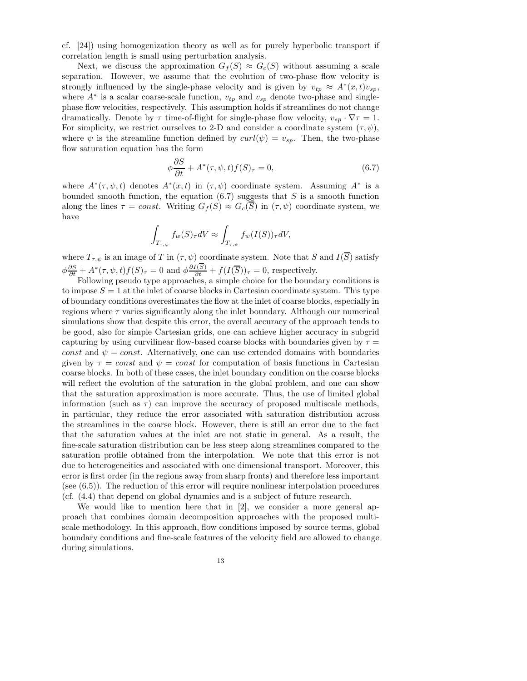cf. [24]) using homogenization theory as well as for purely hyperbolic transport if correlation length is small using perturbation analysis.

Next, we discuss the approximation  $G_f(S) \approx G_c(\overline{S})$  without assuming a scale separation. However, we assume that the evolution of two-phase flow velocity is strongly influenced by the single-phase velocity and is given by  $v_{tp} \approx A^*(x,t)v_{sp}$ , where  $A^*$  is a scalar coarse-scale function,  $v_{tp}$  and  $v_{sp}$  denote two-phase and singlephase flow velocities, respectively. This assumption holds if streamlines do not change dramatically. Denote by  $\tau$  time-of-flight for single-phase flow velocity,  $v_{sp} \cdot \nabla \tau = 1$ . For simplicity, we restrict ourselves to 2-D and consider a coordinate system  $(\tau, \psi)$ , where  $\psi$  is the streamline function defined by  $curl(\psi) = v_{sp}$ . Then, the two-phase flow saturation equation has the form

$$
\phi \frac{\partial S}{\partial t} + A^*(\tau, \psi, t) f(S)_{\tau} = 0, \qquad (6.7)
$$

where  $A^*(\tau, \psi, t)$  denotes  $A^*(x, t)$  in  $(\tau, \psi)$  coordinate system. Assuming  $A^*$  is a bounded smooth function, the equation  $(6.7)$  suggests that S is a smooth function along the lines  $\tau = const.$  Writing  $G_f(S) \approx G_c(S)$  in  $(\tau, \psi)$  coordinate system, we have

$$
\int_{T_{\tau,\psi}} f_w(S)_{\tau} dV \approx \int_{T_{\tau,\psi}} f_w(I(\overline{S}))_{\tau} dV,
$$

where  $T_{\tau,\psi}$  is an image of T in  $(\tau,\psi)$  coordinate system. Note that S and  $I(\overline{S})$  satisfy  $\phi \frac{\partial S}{\partial t} + A^*(\tau, \psi, t) f(S)_{\tau} = 0$  and  $\phi \frac{\partial I(S)}{\partial t} + f(I(\overline{S}))_{\tau} = 0$ , respectively.

Following pseudo type approaches, a simple choice for the boundary conditions is to impose  $S = 1$  at the inlet of coarse blocks in Cartesian coordinate system. This type of boundary conditions overestimatesthe flow at the inlet of coarse blocks, especially in regions where  $\tau$  varies significantly along the inlet boundary. Although our numerical simulations show that despite this error, the overall accuracy of the approach tends to be good, also for simple Cartesian grids, one can achieve higher accuracy in subgrid capturing by using curvilinear flow-based coarse blocks with boundaries given by  $\tau =$ const and  $\psi = const.$  Alternatively, one can use extended domains with boundaries given by  $\tau = const$  and  $\psi = const$  for computation of basis functions in Cartesian coarse blocks. In both of these cases, the inlet boundary condition on the coarse blocks will reflect the evolution of the saturation in the global problem, and one can show that the saturation approximation is more accurate. Thus, the use of limited global information (such as  $\tau$ ) can improve the accuracy of proposed multiscale methods, in particular, they reduce the error associated with saturation distribution across the streamlines in the coarse block. However, there is still an error due to the fact that the saturation values at the inlet are not static in general. As a result, the fine-scale saturation distribution can be less steep along streamlines compared to the saturation profile obtained from the interpolation. We note that this error is not due to heterogeneities and associated with one dimensional transport. Moreover, this error is first order (in the regions away from sharp fronts) and therefore less important (see (6.5)). The reduction of this error will require nonlinear interpolation procedures (cf. (4.4) that depend on global dynamics and is a subject of future research.

We would like to mention here that in  $[2]$ , we consider a more general approach that combines domain decomposition approaches with the proposed multiscale methodology. In this approach, flow conditions imposed by source terms, global boundary conditions and fine-scale features of the velocity field are allowed to change during simulations.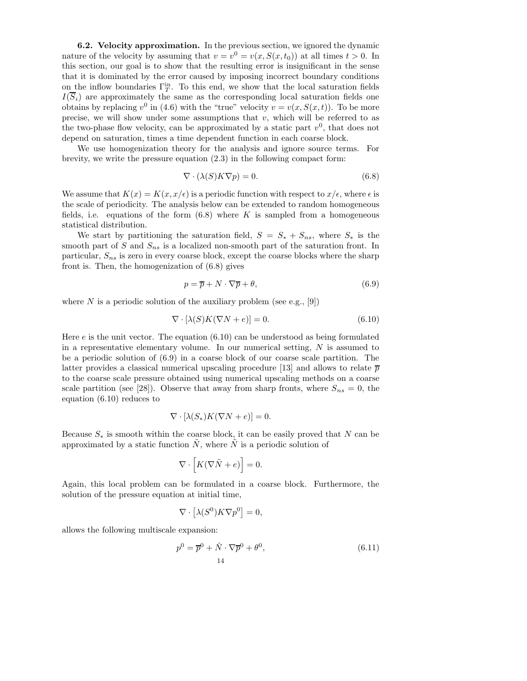6.2. Velocity approximation. In the previous section, we ignored the dynamic nature of the velocity by assuming that  $v = v^0 = v(x, S(x, t_0))$  at all times  $t > 0$ . In this section, our goal is to show that the resulting error is insignificant in the sense that it is dominated by the error caused by imposing incorrect boundary conditions on the inflow boundaries  $\Gamma_T^{\text{in}}$ . To this end, we show that the local saturation fields  $I(\overline{S}_i)$  are approximately the same as the corresponding local saturation fields one obtains by replacing  $v^0$  in (4.6) with the "true" velocity  $v = v(x, S(x, t))$ . To be more precise, we will show under some assumptions that  $v$ , which will be referred to as the two-phase flow velocity, can be approximated by a static part  $v^0$ , that does not depend on saturation, times a time dependent function in each coarse block.

We use homogenization theory for the analysis and ignore source terms. For brevity, we write the pressure equation  $(2.3)$  in the following compact form:

$$
\nabla \cdot (\lambda(S) K \nabla p) = 0. \tag{6.8}
$$

We assume that  $K(x) = K(x, x/\epsilon)$  is a periodic function with respect to  $x/\epsilon$ , where  $\epsilon$  is the scale of periodicity. The analysis below can be extended to random homogeneous fields, i.e. equations of the form  $(6.8)$  where K is sampled from a homogeneous statistical distribution.

We start by partitioning the saturation field,  $S = S_* + S_{ns}$ , where  $S_*$  is the smooth part of S and  $S_{ns}$  is a localized non-smooth part of the saturation front. In particular,  $S_{ns}$  is zero in every coarse block, except the coarse blocks where the sharp front is. Then, the homogenization of (6.8) gives

$$
p = \overline{p} + N \cdot \nabla \overline{p} + \theta,\tag{6.9}
$$

where N is a periodic solution of the auxiliary problem (see e.g., [9])

$$
\nabla \cdot [\lambda(S)K(\nabla N + e)] = 0. \tag{6.10}
$$

Here  $e$  is the unit vector. The equation  $(6.10)$  can be understood as being formulated in a representative elementary volume. In our numerical setting,  $N$  is assumed to be a periodic solution of (6.9) in a coarse block of our coarse scale partition. The latter provides a classical numerical upscaling procedure [13] and allows to relate  $\bar{p}$ to the coarse scale pressure obtained using numerical upscaling methods on a coarse scale partition (see [28]). Observe that away from sharp fronts, where  $S_{ns} = 0$ , the equation (6.10) reduces to

$$
\nabla \cdot [\lambda(S_*) K(\nabla N + e)] = 0.
$$

Because  $S_*$  is smooth within the coarse block, it can be easily proved that N can be approximated by a static function  $N$ , where  $N$  is a periodic solution of

$$
\nabla \cdot \Big[ K(\nabla \tilde{N} + e) \Big] = 0.
$$

Again, this local problem can be formulated in a coarse block. Furthermore, the solution of the pressure equation at initial time,

$$
\nabla \cdot \left[ \lambda(S^0) K \nabla p^0 \right] = 0,
$$

allows the following multiscale expansion:

$$
p^0 = \overline{p}^0 + \hat{N} \cdot \nabla \overline{p}^0 + \theta^0,
$$
\n
$$
14
$$
\n(6.11)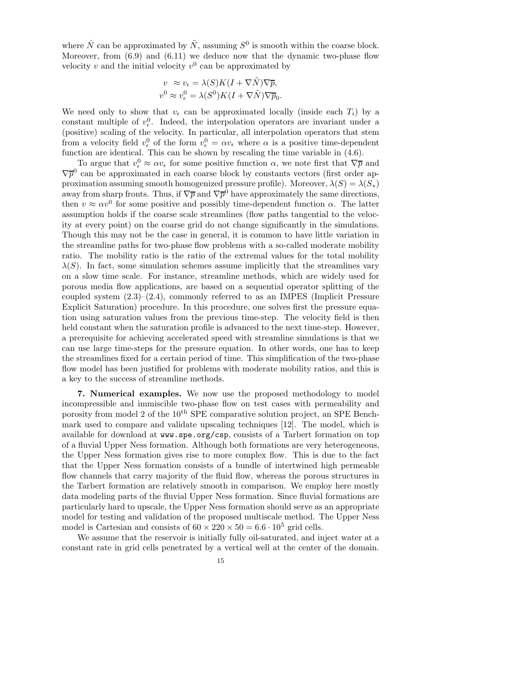where  $\hat{N}$  can be approximated by  $\tilde{N}$ , assuming  $S^0$  is smooth within the coarse block. Moreover, from (6.9) and (6.11) we deduce now that the dynamic two-phase flow velocity  $v$  and the initial velocity  $v^0$  can be approximated by

$$
v \approx v_{\epsilon} = \lambda(S)K(I + \nabla \tilde{N})\nabla \overline{p},
$$
  

$$
v^{0} \approx v_{\epsilon}^{0} = \lambda(S^{0})K(I + \nabla \tilde{N})\nabla \overline{p}_{0}.
$$

We need only to show that  $v_{\epsilon}$  can be approximated locally (inside each  $T_i$ ) by a constant multiple of  $v_{\epsilon}^{0}$ . Indeed, the interpolation operators are invariant under a (positive) scaling of the velocity. In particular, all interpolation operators that stem from a velocity field  $v_{\epsilon}^0$  of the form  $v_{\epsilon}^0 = \alpha v_{\epsilon}$  where  $\alpha$  is a positive time-dependent function are identical. This can be shown by rescaling the time variable in (4.6).

To argue that  $v_{\epsilon}^0 \approx \alpha v_{\epsilon}$  for some positive function  $\alpha$ , we note first that  $\nabla \overline{p}$  and  $\nabla \bar{p}^0$  can be approximated in each coarse block by constants vectors (first order approximation assuming smooth homogenized pressure profile). Moreover,  $\lambda(S) = \lambda(S_*)$ away from sharp fronts. Thus, if  $\nabla \overline{p}$  and  $\nabla \overline{p}^0$  have approximately the same directions, then  $v \approx \alpha v^0$  for some positive and possibly time-dependent function  $\alpha$ . The latter assumption holds if the coarse scale streamlines (flow paths tangential to the velocity at every point) on the coarse grid do not change significantly in the simulations. Though this may not be the case in general, it is common to have little variation in the streamline paths for two-phase flow problems with a so-called moderate mobility ratio. The mobility ratio is the ratio of the extremal values for the total mobility  $\lambda(S)$ . In fact, some simulation schemes assume implicitly that the streamlines vary on a slow time scale. For instance, streamline methods, which are widely used for porous media flow applications, are based on a sequential operator splitting of the coupled system  $(2.3)$ – $(2.4)$ , commonly referred to as an IMPES (Implicit Pressure Explicit Saturation) procedure. In this procedure, one solves first the pressure equation using saturation values from the previous time-step. The velocity field is then held constant when the saturation profile is advanced to the next time-step. However, a prerequisite for achieving accelerated speed with streamline simulations is that we can use large time-steps for the pressure equation. In other words, one has to keep the streamlines fixed for a certain period of time. This simplification of the two-phase flow model has been justified for problems with moderate mobility ratios, and this is a key to the success of streamline methods.

7. Numerical examples. We now use the proposed methodology to model incompressible and immiscible two-phase flow on test cases with permeability and porosity from model 2 of the  $10<sup>th</sup>$  SPE comparative solution project, an SPE Benchmark used to compare and validate upscaling techniques [12]. The model, which is available for download at www.spe.org/csp, consists of a Tarbert formation on top of a fluvial Upper Ness formation. Although both formations are very heterogeneous, the Upper Ness formation gives rise to more complex flow. This is due to the fact that the Upper Ness formation consists of a bundle of intertwined high permeable flow channels that carry majority of the fluid flow, whereas the porous structures in the Tarbert formation are relatively smooth in comparison. We employ here mostly data modeling parts of the fluvial Upper Ness formation. Since fluvial formations are particularly hard to upscale, the Upper Ness formation should serve as an appropriate model for testing and validation of the proposed multiscale method. The Upper Ness model is Cartesian and consists of  $60 \times 220 \times 50 = 6.6 \cdot 10^5$  grid cells.

We assume that the reservoir is initially fully oil-saturated, and inject water at a constant rate in grid cells penetrated by a vertical well at the center of the domain.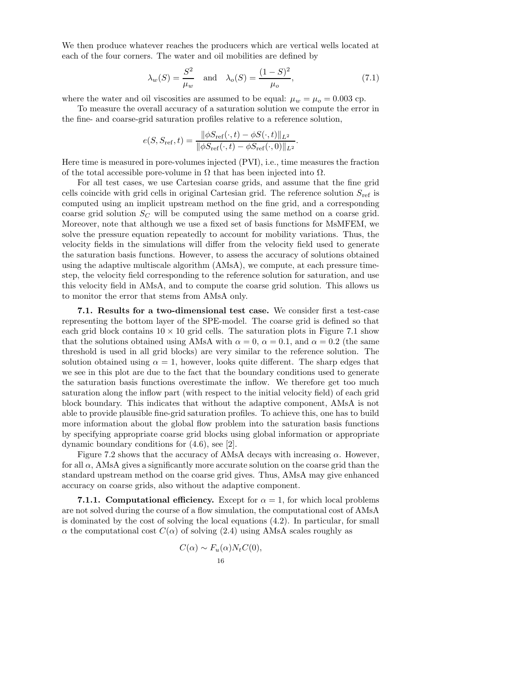We then produce whatever reaches the producers which are vertical wells located at each of the four corners. The water and oil mobilities are defined by

$$
\lambda_w(S) = \frac{S^2}{\mu_w} \quad \text{and} \quad \lambda_o(S) = \frac{(1 - S)^2}{\mu_o},\tag{7.1}
$$

where the water and oil viscosities are assumed to be equal:  $\mu_w = \mu_o = 0.003$  cp.

To measure the overall accuracy of a saturation solution we compute the error in the fine- and coarse-grid saturation profiles relative to a reference solution,

$$
e(S, S_{\text{ref}}, t) = \frac{\|\phi S_{\text{ref}}(\cdot, t) - \phi S(\cdot, t)\|_{L^2}}{\|\phi S_{\text{ref}}(\cdot, t) - \phi S_{\text{ref}}(\cdot, 0)\|_{L^2}}.
$$

Here time is measured in pore-volumes injected (PVI), i.e., time measures the fraction of the total accessible pore-volume in  $\Omega$  that has been injected into  $\Omega$ .

For all test cases, we use Cartesian coarse grids, and assume that the fine grid cells coincide with grid cells in original Cartesian grid. The reference solution  $S_{\text{ref}}$  is computed using an implicit upstream method on the fine grid, and a corresponding coarse grid solution  $S_C$  will be computed using the same method on a coarse grid. Moreover, note that although we use a fixed set of basis functions for MsMFEM, we solve the pressure equation repeatedly to account for mobility variations. Thus, the velocity fields in the simulations will differ from the velocity field used to generate the saturation basis functions. However, to assess the accuracy of solutions obtained using the adaptive multiscale algorithm (AMsA), we compute, at each pressure timestep, the velocity field corresponding to the reference solution for saturation, and use this velocity field in AMsA, and to compute the coarse grid solution. This allows us to monitor the error that stems from AMsA only.

7.1. Results for a two-dimensional test case. We consider first a test-case representing the bottom layer of the SPE-model. The coarse grid is defined so that each grid block contains  $10 \times 10$  grid cells. The saturation plots in Figure 7.1 show that the solutions obtained using AMsA with  $\alpha = 0$ ,  $\alpha = 0.1$ , and  $\alpha = 0.2$  (the same threshold is used in all grid blocks) are very similar to the reference solution. The solution obtained using  $\alpha = 1$ , however, looks quite different. The sharp edges that we see in this plot are due to the fact that the boundary conditions used to generate the saturation basis functions overestimate the inflow. We therefore get too much saturation along the inflow part (with respect to the initial velocity field) of each grid block boundary. This indicates that without the adaptive component, AMsA is not able to provide plausible fine-grid saturation profiles. To achieve this, one has to build more information about the global flow problem into the saturation basis functions by specifying appropriate coarse grid blocks using global information or appropriate dynamic boundary conditions for (4.6), see [2].

Figure 7.2 shows that the accuracy of AMsA decays with increasing  $\alpha$ . However, for all  $\alpha$ , AMsA gives a significantly more accurate solution on the coarse grid than the standard upstream method on the coarse grid gives. Thus, AMsA may give enhanced accuracy on coarse grids, also without the adaptive component.

7.1.1. Computational efficiency. Except for  $\alpha = 1$ , for which local problems are not solved during the course of a flow simulation, the computational cost of AMsA is dominated by the cost of solving the local equations (4.2). In particular, for small  $\alpha$  the computational cost  $C(\alpha)$  of solving (2.4) using AMsA scales roughly as

$$
C(\alpha) \sim F_u(\alpha) N_t C(0),
$$
  
16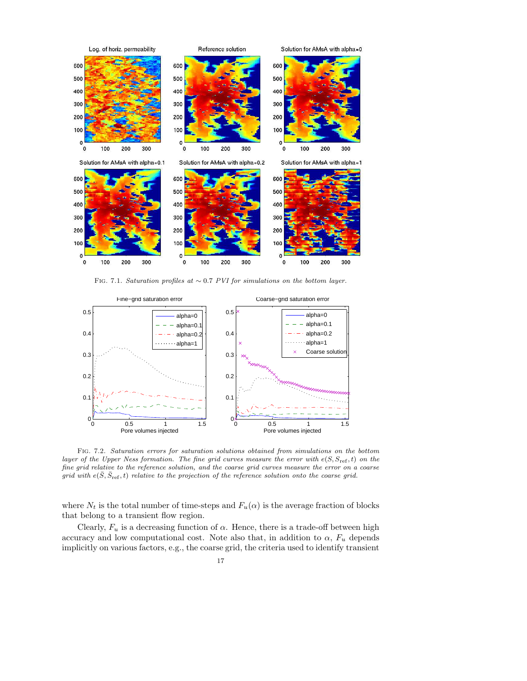

FIG. 7.1. Saturation profiles at  $\sim 0.7$  PVI for simulations on the bottom layer.



Fig. 7.2. Saturation errors for saturation solutions obtained from simulations on the bottom layer of the Upper Ness formation. The fine grid curves measure the error with  $e(S, S_{\text{ref}}, t)$  on the fine grid relative to the reference solution, and the coarse grid curves measure the error on a coarse grid with  $e(\bar{S}, \bar{S}_{\text{ref}}, t)$  relative to the projection of the reference solution onto the coarse grid.

where  $N_t$  is the total number of time-steps and  $F_u(\alpha)$  is the average fraction of blocks that belong to a transient flow region.

Clearly,  $F_u$  is a decreasing function of  $\alpha$ . Hence, there is a trade-off between high accuracy and low computational cost. Note also that, in addition to  $\alpha$ ,  $F_u$  depends implicitly on various factors, e.g., the coarse grid, the criteria used to identify transient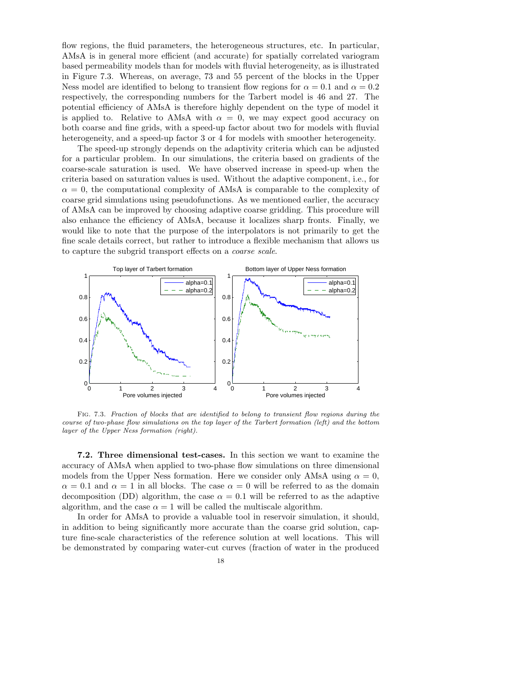flow regions, the fluid parameters, the heterogeneous structures, etc. In particular, AMsA is in general more efficient (and accurate) for spatially correlated variogram based permeability models than for models with fluvial heterogeneity, as is illustrated in Figure 7.3. Whereas, on average, 73 and 55 percent of the blocks in the Upper Ness model are identified to belong to transient flow regions for  $\alpha = 0.1$  and  $\alpha = 0.2$ respectively, the corresponding numbers for the Tarbert model is 46 and 27. The potential efficiency of AMsA is therefore highly dependent on the type of model it is applied to. Relative to AMsA with  $\alpha = 0$ , we may expect good accuracy on both coarse and fine grids, with a speed-up factor about two for models with fluvial heterogeneity, and a speed-up factor 3 or 4 for models with smoother heterogeneity.

The speed-up strongly depends on the adaptivity criteria which can be adjusted for a particular problem. In our simulations, the criteria based on gradients of the coarse-scale saturation is used. We have observed increase in speed-up when the criteria based on saturation values is used. Without the adaptive component, i.e., for  $\alpha = 0$ , the computational complexity of AMsA is comparable to the complexity of coarse grid simulations using pseudofunctions. As we mentioned earlier, the accuracy of AMsA can be improved by choosing adaptive coarse gridding. This procedure will also enhance the efficiency of AMsA, because it localizes sharp fronts. Finally, we would like to note that the purpose of the interpolators is not primarily to get the fine scale details correct, but rather to introduce a flexible mechanism that allows us to capture the subgrid transport effects on a coarse scale.



Fig. 7.3. Fraction of blocks that are identified to belong to transient flow regions during the course of two-phase flow simulations on the top layer of the Tarbert formation (left) and the bottom layer of the Upper Ness formation (right).

7.2. Three dimensional test-cases. In this section we want to examine the accuracy of AMsA when applied to two-phase flow simulations on three dimensional models from the Upper Ness formation. Here we consider only AMsA using  $\alpha = 0$ ,  $\alpha = 0.1$  and  $\alpha = 1$  in all blocks. The case  $\alpha = 0$  will be referred to as the domain decomposition (DD) algorithm, the case  $\alpha = 0.1$  will be referred to as the adaptive algorithm, and the case  $\alpha = 1$  will be called the multiscale algorithm.

In order for AMsA to provide a valuable tool in reservoir simulation, it should, in addition to being significantly more accurate than the coarse grid solution, capture fine-scale characteristics of the reference solution at well locations. This will be demonstrated by comparing water-cut curves (fraction of water in the produced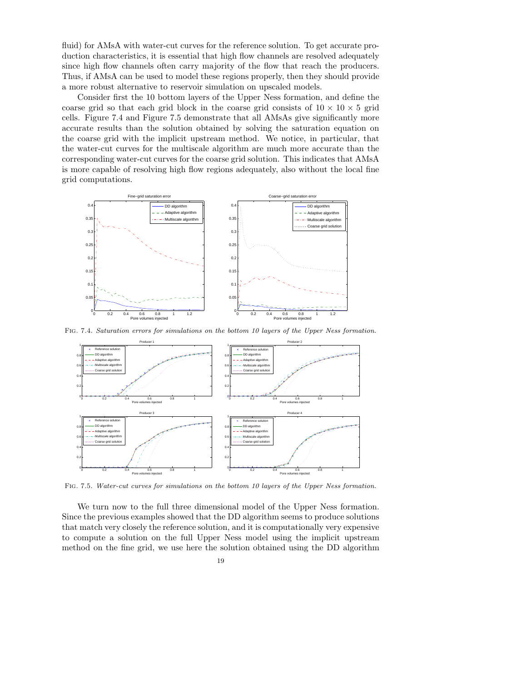fluid) for AMsA with water-cut curves for the reference solution. To get accurate production characteristics, it is essential that high flow channels are resolved adequately since high flow channels often carry majority of the flow that reach the producers. Thus, if AMsA can be used to model these regions properly, then they should provide a more robust alternative to reservoir simulation on upscaled models.

Consider first the 10 bottom layers of the Upper Ness formation, and define the coarse grid so that each grid block in the coarse grid consists of  $10 \times 10 \times 5$  grid cells. Figure 7.4 and Figure 7.5 demonstrate that all AMsAs give significantly more accurate results than the solution obtained by solving the saturation equation on the coarse grid with the implicit upstream method. We notice, in particular, that the water-cut curves for the multiscale algorithm are much more accurate than the corresponding water-cut curves for the coarse grid solution. This indicates that AMsA is more capable of resolving high flow regions adequately, also without the local fine grid computations.



Fig. 7.4. Saturation errors for simulations on the bottom 10 layers of the Upper Ness formation.



Fig. 7.5. Water-cut curves for simulations on the bottom 10 layers of the Upper Ness formation.

We turn now to the full three dimensional model of the Upper Ness formation. Since the previous examples showed that the DD algorithm seems to produce solutions that match very closely the reference solution, and it is computationally very expensive to compute a solution on the full Upper Ness model using the implicit upstream method on the fine grid, we use here the solution obtained using the DD algorithm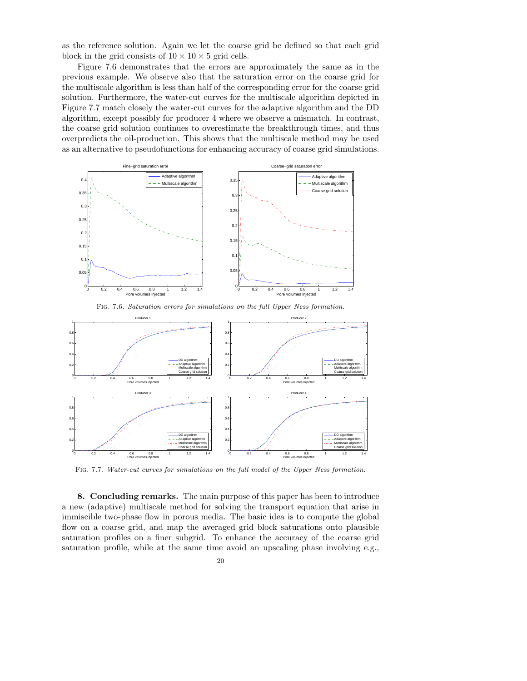as the reference solution. Again we let the coarse grid be defined so that each grid block in the grid consists of  $10 \times 10 \times 5$  grid cells.

Figure 7.6 demonstrates that the errors are approximately the same as in the previous example. We observe also that the saturation error on the coarse grid for the multiscale algorithm is less than half of the corresponding error for the coarse grid solution. Furthermore, the water-cut curves for the multiscale algorithm depicted in Figure 7.7 match closely the water-cut curves for the adaptive algorithm and the DD algorithm, except possibly for producer 4 where we observe a mismatch. In contrast, the coarse grid solution continues to overestimate the breakthrough times, and thus overpredicts the oil-production. This shows that the multiscale method may be used as an alternative to pseudofunctions for enhancing accuracy of coarse grid simulations.



FIG. 7.6. Saturation errors for simulations on the full Upper Ness formation.



Fig. 7.7. Water-cut curves for simulations on the full model of the Upper Ness formation.

8. Concluding remarks. The main purpose of this paper has been to introduce a new (adaptive) multiscale method for solving the transport equation that arise in immiscible two-phase flow in porous media. The basic idea is to compute the global flow on a coarse grid, and map the averaged grid block saturations onto plausible saturation profiles on a finer subgrid. To enhance the accuracy of the coarse grid saturation profile, while at the same time avoid an upscaling phase involving e.g.,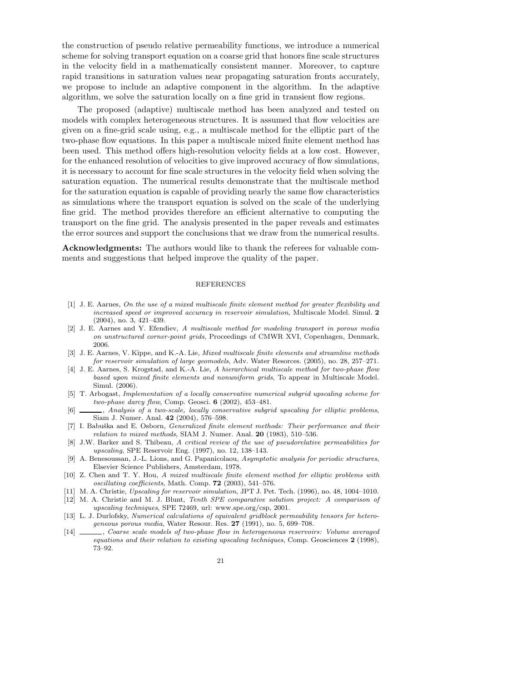the construction of pseudo relative permeability functions, we introduce a numerical scheme for solving transport equation on a coarse grid that honors fine scale structures in the velocity field in a mathematically consistent manner. Moreover, to capture rapid transitions in saturation values near propagating saturation fronts accurately, we propose to include an adaptive component in the algorithm. In the adaptive algorithm, we solve the saturation locally on a fine grid in transient flow regions.

The proposed (adaptive) multiscale method has been analyzed and tested on models with complex heterogeneous structures. It is assumed that flow velocities are given on a fine-grid scale using, e.g., a multiscale method for the elliptic part of the two-phase flow equations. In this paper a multiscale mixed finite element method has been used. This method offers high-resolution velocity fields at a low cost. However, for the enhanced resolution of velocities to give improved accuracy of flow simulations, it is necessary to account for fine scale structures in the velocity field when solving the saturation equation. The numerical results demonstrate that the multiscale method for the saturation equation is capable of providing nearly the same flow characteristics as simulations where the transport equation is solved on the scale of the underlying fine grid. The method provides therefore an efficient alternative to computing the transport on the fine grid. The analysis presented in the paper reveals and estimates the error sources and support the conclusions that we draw from the numerical results.

Acknowledgments: The authors would like to thank the referees for valuable comments and suggestions that helped improve the quality of the paper.

## REFERENCES

- [1] J. E. Aarnes, On the use of a mixed multiscale finite element method for greater flexibility and increased speed or improved accuracy in reservoir simulation, Multiscale Model. Simul. 2 (2004), no. 3, 421–439.
- [2] J. E. Aarnes and Y. Efendiev, A multiscale method for modeling transport in porous media on unstructured corner-point grids, Proceedings of CMWR XVI, Copenhagen, Denmark, 2006.
- [3] J. E. Aarnes, V. Kippe, and K.-A. Lie, Mixed multiscale finite elements and streamline methods for reservoir simulation of large geomodels, Adv. Water Resorces. (2005), no. 28, 257–271.
- [4] J. E. Aarnes, S. Krogstad, and K.-A. Lie, A hierarchical multiscale method for two-phase flow based upon mixed finite elements and nonuniform grids, To appear in Multiscale Model. Simul. (2006).
- [5] T. Arbogast, Implementation of a locally conservative numerical subgrid upscaling scheme for two-phase darcy flow, Comp. Geosci. 6 (2002), 453–481.
- [6]  $\Box$ , Analysis of a two-scale, locally conservative subgrid upscaling for elliptic problems, Siam J. Numer. Anal. 42 (2004), 576–598.
- [7] I. Babuška and E. Osborn, Generalized finite element methods: Their performance and their relation to mixed methods, SIAM J. Numer. Anal. 20 (1983), 510–536.
- [8] J.W. Barker and S. Thibeau, A critical review of the use of pseudorelative permeabilities for upscaling, SPE Reservoir Eng. (1997), no. 12, 138–143.
- [9] A. Benesoussan, J.-L. Lions, and G. Papanicolaou, Asymptotic analysis for periodic structures, Elsevier Science Publishers, Amsterdam, 1978.
- [10] Z. Chen and T. Y. Hou, A mixed multiscale finite element method for elliptic problems with oscillating coefficients, Math. Comp. 72 (2003), 541–576.
- [11] M. A. Christie, Upscaling for reservoir simulation, JPT J. Pet. Tech. (1996), no. 48, 1004–1010.
- [12] M. A. Christie and M. J. Blunt, Tenth SPE comparative solution project: A comparison of upscaling techniques, SPE 72469, url: www.spe.org/csp, 2001.
- [13] L. J. Durlofsky, Numerical calculations of equivalent gridblock permeability tensors for heterogeneous porous media, Water Resour. Res. 27 (1991), no. 5, 699–708.
- [14] , Coarse scale models of two-phase flow in heterogeneous reservoirs: Volume averaged equations and their relation to existing upscaling techniques, Comp. Geosciences 2 (1998), 73–92.